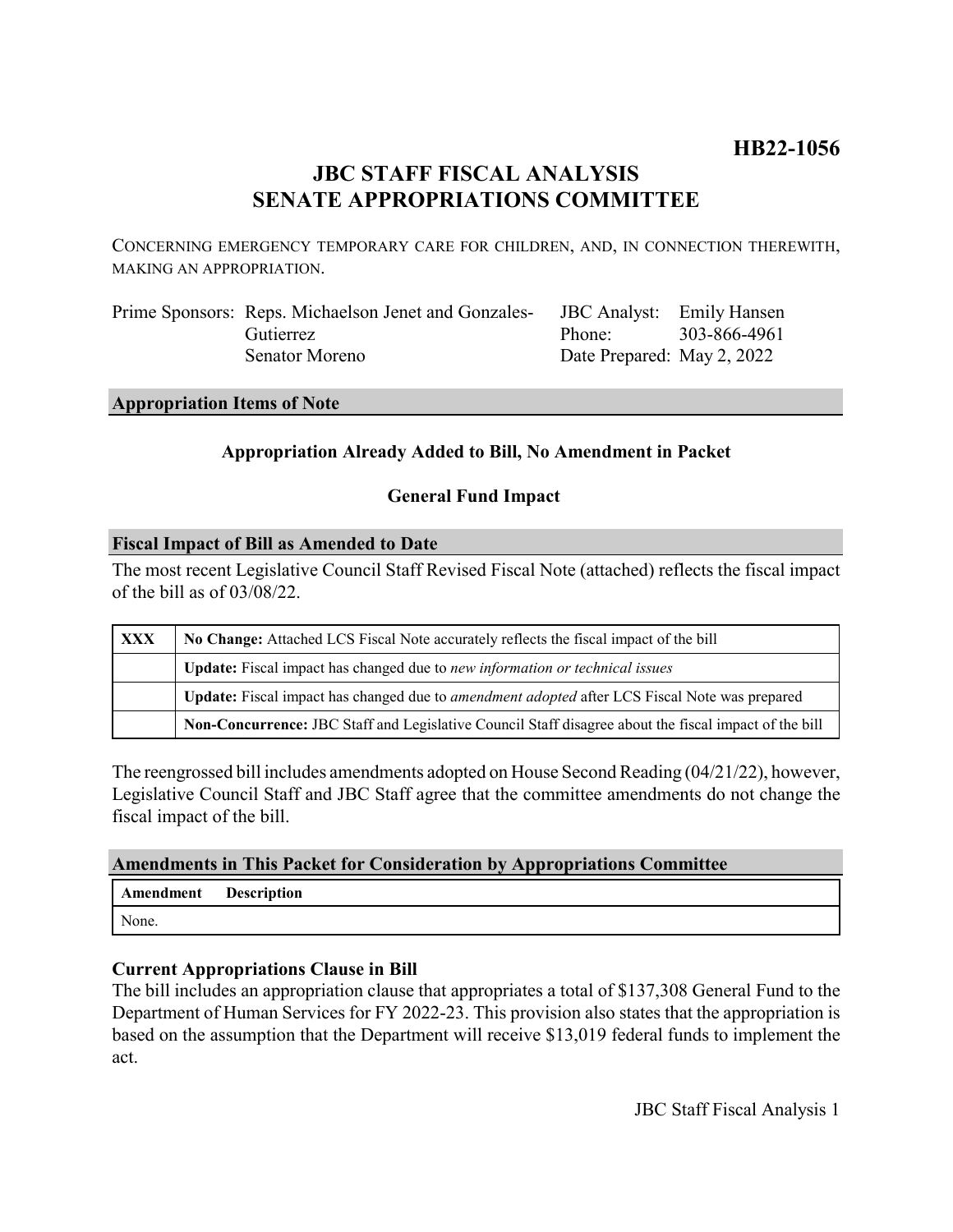# **HB22-1056**

# **JBC STAFF FISCAL ANALYSIS SENATE APPROPRIATIONS COMMITTEE**

CONCERNING EMERGENCY TEMPORARY CARE FOR CHILDREN, AND, IN CONNECTION THEREWITH, MAKING AN APPROPRIATION.

| Prime Sponsors: Reps. Michaelson Jenet and Gonzales- | JBC Analyst: Emily Hansen  |  |
|------------------------------------------------------|----------------------------|--|
| <b>Gutierrez</b>                                     | Phone: 303-866-4961        |  |
| Senator Moreno                                       | Date Prepared: May 2, 2022 |  |

### **Appropriation Items of Note**

# **Appropriation Already Added to Bill, No Amendment in Packet**

# **General Fund Impact**

# **Fiscal Impact of Bill as Amended to Date**

The most recent Legislative Council Staff Revised Fiscal Note (attached) reflects the fiscal impact of the bill as of 03/08/22.

| <b>XXX</b> | No Change: Attached LCS Fiscal Note accurately reflects the fiscal impact of the bill                       |  |
|------------|-------------------------------------------------------------------------------------------------------------|--|
|            | <b>Update:</b> Fiscal impact has changed due to new information or technical issues                         |  |
|            | <b>Update:</b> Fiscal impact has changed due to <i>amendment adopted</i> after LCS Fiscal Note was prepared |  |
|            | Non-Concurrence: JBC Staff and Legislative Council Staff disagree about the fiscal impact of the bill       |  |

The reengrossed bill includes amendments adopted on House Second Reading (04/21/22), however, Legislative Council Staff and JBC Staff agree that the committee amendments do not change the fiscal impact of the bill.

#### **Amendments in This Packet for Consideration by Appropriations Committee**

| <b>Amendment</b> Description |  |
|------------------------------|--|
| None.                        |  |

# **Current Appropriations Clause in Bill**

The bill includes an appropriation clause that appropriates a total of \$137,308 General Fund to the Department of Human Services for FY 2022-23. This provision also states that the appropriation is based on the assumption that the Department will receive \$13,019 federal funds to implement the act.